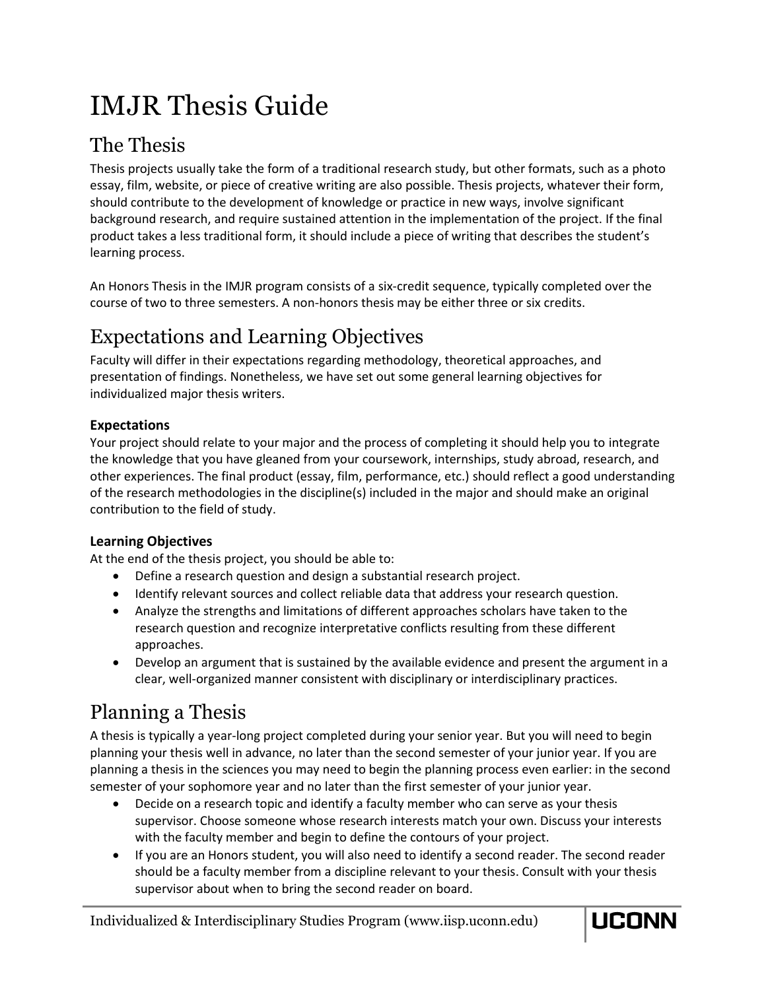# IMJR Thesis Guide

## The Thesis

Thesis projects usually take the form of a traditional research study, but other formats, such as a photo essay, film, website, or piece of creative writing are also possible. Thesis projects, whatever their form, should contribute to the development of knowledge or practice in new ways, involve significant background research, and require sustained attention in the implementation of the project. If the final product takes a less traditional form, it should include a piece of writing that describes the student's learning process.

An Honors Thesis in the IMJR program consists of a six-credit sequence, typically completed over the course of two to three semesters. A non-honors thesis may be either three or six credits.

## Expectations and Learning Objectives

Faculty will differ in their expectations regarding methodology, theoretical approaches, and presentation of findings. Nonetheless, we have set out some general learning objectives for individualized major thesis writers.

#### **Expectations**

Your project should relate to your major and the process of completing it should help you to integrate the knowledge that you have gleaned from your coursework, internships, study abroad, research, and other experiences. The final product (essay, film, performance, etc.) should reflect a good understanding of the research methodologies in the discipline(s) included in the major and should make an original contribution to the field of study.

#### **Learning Objectives**

At the end of the thesis project, you should be able to:

- Define a research question and design a substantial research project.
- Identify relevant sources and collect reliable data that address your research question.
- Analyze the strengths and limitations of different approaches scholars have taken to the research question and recognize interpretative conflicts resulting from these different approaches.
- Develop an argument that is sustained by the available evidence and present the argument in a clear, well-organized manner consistent with disciplinary or interdisciplinary practices.

# Planning a Thesis

A thesis is typically a year-long project completed during your senior year. But you will need to begin planning your thesis well in advance, no later than the second semester of your junior year. If you are planning a thesis in the sciences you may need to begin the planning process even earlier: in the second semester of your sophomore year and no later than the first semester of your junior year.

- Decide on a research topic and identify a faculty member who can serve as your thesis supervisor. Choose someone whose research interests match your own. Discuss your interests with the faculty member and begin to define the contours of your project.
- If you are an Honors student, you will also need to identify a second reader. The second reader should be a faculty member from a discipline relevant to your thesis. Consult with your thesis supervisor about when to bring the second reader on board.

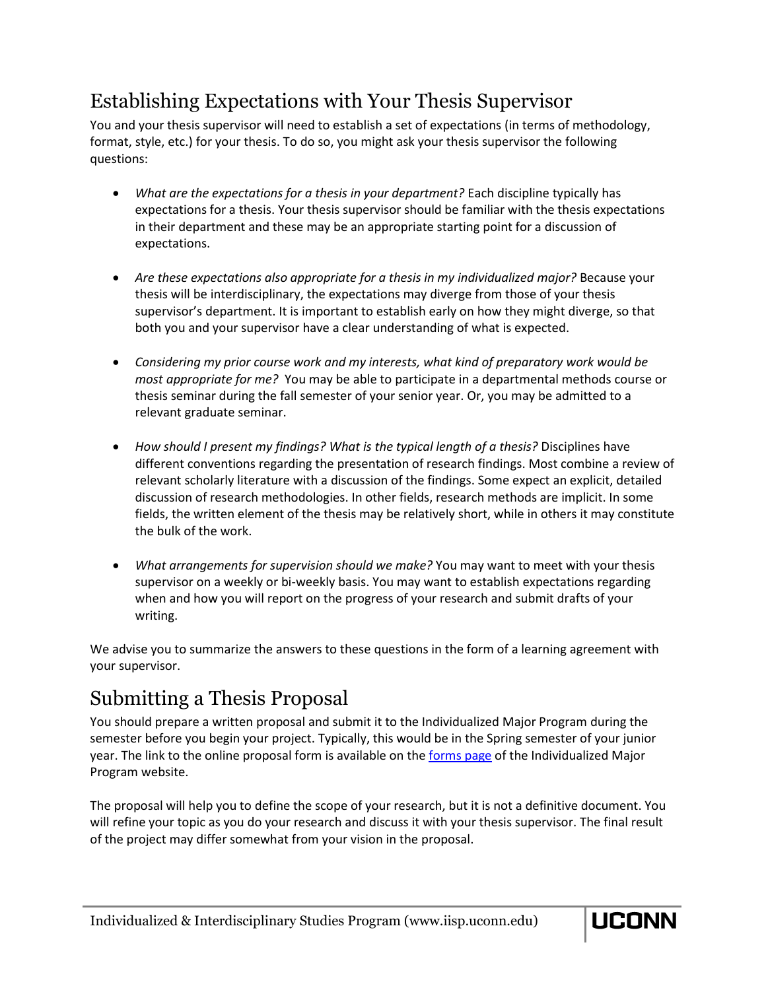### Establishing Expectations with Your Thesis Supervisor

You and your thesis supervisor will need to establish a set of expectations (in terms of methodology, format, style, etc.) for your thesis. To do so, you might ask your thesis supervisor the following questions:

- *What are the expectations for a thesis in your department?* Each discipline typically has expectations for a thesis. Your thesis supervisor should be familiar with the thesis expectations in their department and these may be an appropriate starting point for a discussion of expectations.
- *Are these expectations also appropriate for a thesis in my individualized major?* Because your thesis will be interdisciplinary, the expectations may diverge from those of your thesis supervisor's department. It is important to establish early on how they might diverge, so that both you and your supervisor have a clear understanding of what is expected.
- *Considering my prior course work and my interests, what kind of preparatory work would be most appropriate for me?* You may be able to participate in a departmental methods course or thesis seminar during the fall semester of your senior year. Or, you may be admitted to a relevant graduate seminar.
- *How should I present my findings? What is the typical length of a thesis?* Disciplines have different conventions regarding the presentation of research findings. Most combine a review of relevant scholarly literature with a discussion of the findings. Some expect an explicit, detailed discussion of research methodologies. In other fields, research methods are implicit. In some fields, the written element of the thesis may be relatively short, while in others it may constitute the bulk of the work.
- *What arrangements for supervision should we make?* You may want to meet with your thesis supervisor on a weekly or bi-weekly basis. You may want to establish expectations regarding when and how you will report on the progress of your research and submit drafts of your writing.

We advise you to summarize the answers to these questions in the form of a learning agreement with your supervisor.

### Submitting a Thesis Proposal

You should prepare a written proposal and submit it to the Individualized Major Program during the semester before you begin your project. Typically, this would be in the Spring semester of your junior year. The link to the online proposal form is available on th[e forms page](http://iisp.uconn.edu/imjr-forms/) of the Individualized Major Program website.

The proposal will help you to define the scope of your research, but it is not a definitive document. You will refine your topic as you do your research and discuss it with your thesis supervisor. The final result of the project may differ somewhat from your vision in the proposal.

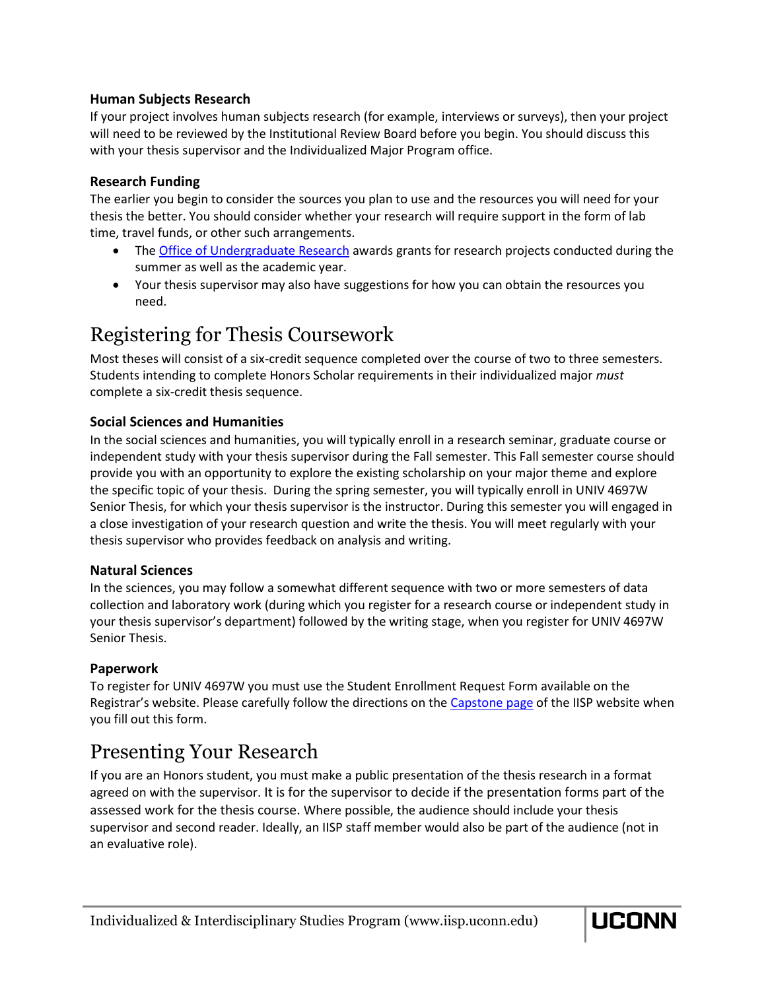#### **Human Subjects Research**

If your project involves human subjects research (for example, interviews or surveys), then your project will need to be reviewed by the Institutional Review Board before you begin. You should discuss this with your thesis supervisor and the Individualized Major Program office.

#### **Research Funding**

The earlier you begin to consider the sources you plan to use and the resources you will need for your thesis the better. You should consider whether your research will require support in the form of lab time, travel funds, or other such arrangements.

- The [Office of Undergraduate Research](http://ugradresearch.uconn.edu/) awards grants for research projects conducted during the summer as well as the academic year.
- Your thesis supervisor may also have suggestions for how you can obtain the resources you need.

### Registering for Thesis Coursework

Most theses will consist of a six-credit sequence completed over the course of two to three semesters. Students intending to complete Honors Scholar requirements in their individualized major *must*  complete a six-credit thesis sequence.

#### **Social Sciences and Humanities**

In the social sciences and humanities, you will typically enroll in a research seminar, graduate course or independent study with your thesis supervisor during the Fall semester. This Fall semester course should provide you with an opportunity to explore the existing scholarship on your major theme and explore the specific topic of your thesis. During the spring semester, you will typically enroll in UNIV 4697W Senior Thesis, for which your thesis supervisor is the instructor. During this semester you will engaged in a close investigation of your research question and write the thesis. You will meet regularly with your thesis supervisor who provides feedback on analysis and writing.

#### **Natural Sciences**

In the sciences, you may follow a somewhat different sequence with two or more semesters of data collection and laboratory work (during which you register for a research course or independent study in your thesis supervisor's department) followed by the writing stage, when you register for UNIV 4697W Senior Thesis.

#### **Paperwork**

To register for UNIV 4697W you must use the Student Enrollment Request Form available on the Registrar's website. Please carefully follow the directions on the [Capstone page](https://iisp.uconn.edu/imjr-capstone/) of the IISP website when you fill out this form.

### Presenting Your Research

If you are an Honors student, you must make a public presentation of the thesis research in a format agreed on with the supervisor. It is for the supervisor to decide if the presentation forms part of the assessed work for the thesis course. Where possible, the audience should include your thesis supervisor and second reader. Ideally, an IISP staff member would also be part of the audience (not in an evaluative role).